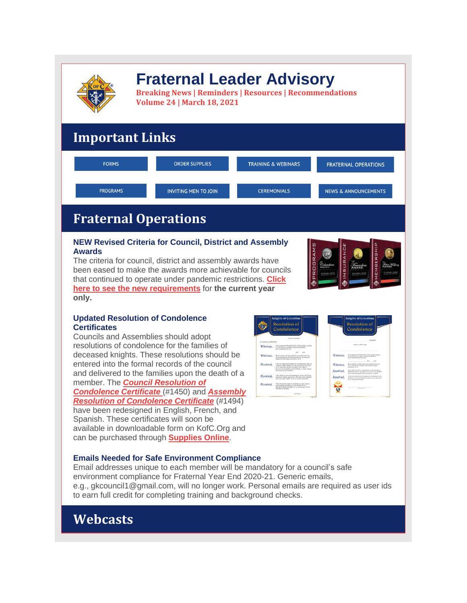

# **Fraternal Leader Advisory**

**Breaking News | Reminders | Resources | Recommendations Volume 24 | March 18, 2021**

## **Important Links**

| <b>FORMS</b>    | <b>ORDER SUPPLIES</b>       | <b>TRAINING &amp; WEBINARS</b> | <b>FRATERNAL OPERATIONS</b>     |
|-----------------|-----------------------------|--------------------------------|---------------------------------|
| <b>PROGRAMS</b> | <b>INVITING MEN TO JOIN</b> | <b>CEREMONIALS</b>             | <b>NEWS &amp; ANNOUNCEMENTS</b> |

## **Fraternal Operations**

## **NEW Revised Criteria for Council, District and Assembly Awards**

The criteria for council, district and assembly awards have been eased to make the awards more achievable for councils that continued to operate under pandemic restrictions. **[Click](http://r20.rs6.net/tn.jsp?f=0017Jvmv69BbCuxc53qKf5ODjnsN6xtcjL1wtIxzJ-RgrCP2b_bCPegO81jgftHMyXi9LNIIa-dOla5Ugc-VNQTGactkjjpJh27qxH1dpU1xegd0pkcD4wEVTEjfvG0AbDMGAHtrqD2YdhcbyMDjY-vWRqGmyG1skqm0kbmNZrefTjwvEgUEkOQTVD4TrMe__xjQhOru8mbT76JVtyvqNpP6ikP00WxNg_-5vMsQHuV-ig=&c=mU4NjQ5g3cDZIONIc_sYzt84_bYFZ2f7_-yBD1WQCKQ0pEEW6emzwA==&ch=6yJW1oWQaRw2SDmvMhsMXEWQPBRYXWQeIaEd9O1yUWin_t3P9Ug56Q==) here to see the new [requirements](http://r20.rs6.net/tn.jsp?f=0017Jvmv69BbCuxc53qKf5ODjnsN6xtcjL1wtIxzJ-RgrCP2b_bCPegO81jgftHMyXi9LNIIa-dOla5Ugc-VNQTGactkjjpJh27qxH1dpU1xegd0pkcD4wEVTEjfvG0AbDMGAHtrqD2YdhcbyMDjY-vWRqGmyG1skqm0kbmNZrefTjwvEgUEkOQTVD4TrMe__xjQhOru8mbT76JVtyvqNpP6ikP00WxNg_-5vMsQHuV-ig=&c=mU4NjQ5g3cDZIONIc_sYzt84_bYFZ2f7_-yBD1WQCKQ0pEEW6emzwA==&ch=6yJW1oWQaRw2SDmvMhsMXEWQPBRYXWQeIaEd9O1yUWin_t3P9Ug56Q==)** for **the current year only.**



## **Updated Resolution of Condolence Certificates**

Councils and Assemblies should adopt resolutions of condolence for the families of deceased knights. These resolutions should be entered into the formal records of the council and delivered to the families upon the death of a member. The *Council [Resolution](http://r20.rs6.net/tn.jsp?f=0017Jvmv69BbCuxc53qKf5ODjnsN6xtcjL1wtIxzJ-RgrCP2b_bCPegO81jgftHMyXiy9mo0EaOV2giFfaZTAtcUriembaETC1hLCJrOM8OaYzM-8OOwjq8wZK-CCA6Ya1IwtkJMDHTf0VTHy4O5dEYHVGugOaP0NxpvkGariTLR5Ex2CHT6ILBhVmSSclONA9vcj3pip-Wfez7DXBXjqMrAQr5QbcnxxL1ofv0O6j0X3I=&c=mU4NjQ5g3cDZIONIc_sYzt84_bYFZ2f7_-yBD1WQCKQ0pEEW6emzwA==&ch=6yJW1oWQaRw2SDmvMhsMXEWQPBRYXWQeIaEd9O1yUWin_t3P9Ug56Q==) of [Condolence](http://r20.rs6.net/tn.jsp?f=0017Jvmv69BbCuxc53qKf5ODjnsN6xtcjL1wtIxzJ-RgrCP2b_bCPegO81jgftHMyXiy9mo0EaOV2giFfaZTAtcUriembaETC1hLCJrOM8OaYzM-8OOwjq8wZK-CCA6Ya1IwtkJMDHTf0VTHy4O5dEYHVGugOaP0NxpvkGariTLR5Ex2CHT6ILBhVmSSclONA9vcj3pip-Wfez7DXBXjqMrAQr5QbcnxxL1ofv0O6j0X3I=&c=mU4NjQ5g3cDZIONIc_sYzt84_bYFZ2f7_-yBD1WQCKQ0pEEW6emzwA==&ch=6yJW1oWQaRw2SDmvMhsMXEWQPBRYXWQeIaEd9O1yUWin_t3P9Ug56Q==) Certificate* (#1450) and *[Assembly](http://r20.rs6.net/tn.jsp?f=0017Jvmv69BbCuxc53qKf5ODjnsN6xtcjL1wtIxzJ-RgrCP2b_bCPegO81jgftHMyXiCoFp-Kxt0GULPIZEUtm9FG505nnmkGcEE_S8kRnWSnz0TvlDHAL4rgbPiBUgQDD_9fDp2uqTMt5ab7lFzBlnmOQ5eku4lywKfc4HoHSwx5nxofF4Z8dzq7RWoAthk_vR48MnNnSJMYOINPl2bkDy7Qw__cVzh4ynWIkbsTCdLDc=&c=mU4NjQ5g3cDZIONIc_sYzt84_bYFZ2f7_-yBD1WQCKQ0pEEW6emzwA==&ch=6yJW1oWQaRw2SDmvMhsMXEWQPBRYXWQeIaEd9O1yUWin_t3P9Ug56Q==) Resolution of [Condolence](http://r20.rs6.net/tn.jsp?f=0017Jvmv69BbCuxc53qKf5ODjnsN6xtcjL1wtIxzJ-RgrCP2b_bCPegO81jgftHMyXiCoFp-Kxt0GULPIZEUtm9FG505nnmkGcEE_S8kRnWSnz0TvlDHAL4rgbPiBUgQDD_9fDp2uqTMt5ab7lFzBlnmOQ5eku4lywKfc4HoHSwx5nxofF4Z8dzq7RWoAthk_vR48MnNnSJMYOINPl2bkDy7Qw__cVzh4ynWIkbsTCdLDc=&c=mU4NjQ5g3cDZIONIc_sYzt84_bYFZ2f7_-yBD1WQCKQ0pEEW6emzwA==&ch=6yJW1oWQaRw2SDmvMhsMXEWQPBRYXWQeIaEd9O1yUWin_t3P9Ug56Q==) Certificate* (#1494) have been redesigned in English, French, and Spanish. These certificates will soon be available in downloadable form on KofC.Org and can be purchased through **[Supplies](http://r20.rs6.net/tn.jsp?f=0017Jvmv69BbCuxc53qKf5ODjnsN6xtcjL1wtIxzJ-RgrCP2b_bCPegO2TmVhrKDLn9eTZZEg2w-YQjsuXsvquH0nOB2LUlxaKTVyq7MTC6LI6sAiWJ93zQ63DjPsxJ0LMvpXq7Sa08e1HuK_NqGWT3G4fQQ7WcIoa-nK7ot9XtgeDL6JCXZt9-KTeGsl2Ngttx&c=mU4NjQ5g3cDZIONIc_sYzt84_bYFZ2f7_-yBD1WQCKQ0pEEW6emzwA==&ch=6yJW1oWQaRw2SDmvMhsMXEWQPBRYXWQeIaEd9O1yUWin_t3P9Ug56Q==) Online**.



## **Emails Needed for Safe Environment Compliance**

Email addresses unique to each member will be mandatory for a council's safe environment compliance for Fraternal Year End 2020-21. Generic emails, e.g., gkcouncil1@gmail.com, will no longer work. Personal emails are required as user ids to earn full credit for completing training and background checks.

## **Webcasts**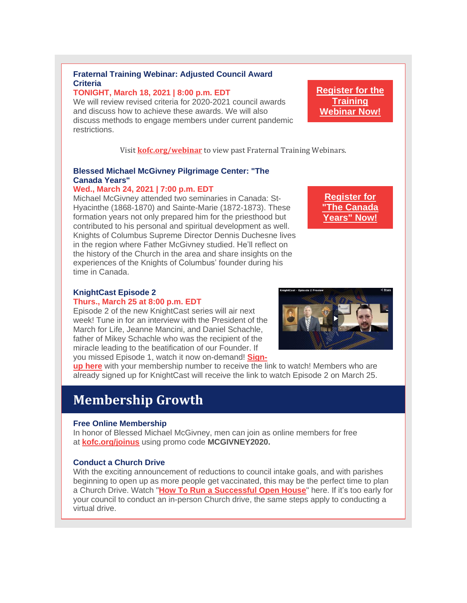## **Fraternal Training Webinar: Adjusted Council Award Criteria**

### **TONIGHT, March 18, 2021 | 8:00 p.m. EDT**

We will review revised criteria for 2020-2021 council awards and discuss how to achieve these awards. We will also discuss methods to engage members under current pandemic restrictions.

Visit **[kofc.org/webinar](http://r20.rs6.net/tn.jsp?f=0017Jvmv69BbCuxc53qKf5ODjnsN6xtcjL1wtIxzJ-RgrCP2b_bCPegO6i-87R17awO-iFw4TpkaHfccRi5Eh70ZvFrmzLt7qFVydNLAg8wwKLbCUTNeF_8H04099HbwDAR_2Z0oOQ8dzB5KuduMcSZJBFs0Vc0wub7BHXwcc1TSICRBw_vH4cIeARclluAWB-m&c=mU4NjQ5g3cDZIONIc_sYzt84_bYFZ2f7_-yBD1WQCKQ0pEEW6emzwA==&ch=6yJW1oWQaRw2SDmvMhsMXEWQPBRYXWQeIaEd9O1yUWin_t3P9Ug56Q==)** to view past Fraternal Training Webinars.

## **Blessed Michael McGivney Pilgrimage Center: "The Canada Years"**

### **Wed., March 24, 2021 | 7:00 p.m. EDT**

Michael McGivney attended two seminaries in Canada: St-Hyacinthe (1868-1870) and Sainte-Marie (1872-1873). These formation years not only prepared him for the priesthood but contributed to his personal and spiritual development as well. Knights of Columbus Supreme Director Dennis Duchesne lives in the region where Father McGivney studied. He'll reflect on the history of the Church in the area and share insights on the experiences of the Knights of Columbus' founder during his time in Canada.

**[Register](http://r20.rs6.net/tn.jsp?f=0017Jvmv69BbCuxc53qKf5ODjnsN6xtcjL1wtIxzJ-RgrCP2b_bCPegO81jgftHMyXiEO47QpzeYG9kx1CKambbD9Am9hIr77LfqHRo3Z4sViVTmRgfT7naKNnWzmfIVwPm1KwjmrQs2kQyBeSLlHl0jIdgBydAHz5SYh1Op13DHsZOo9dQzGnmXMK2ry5s6U2yf7yUGyfuTdkU6sa_J1M2ug==&c=mU4NjQ5g3cDZIONIc_sYzt84_bYFZ2f7_-yBD1WQCKQ0pEEW6emzwA==&ch=6yJW1oWQaRw2SDmvMhsMXEWQPBRYXWQeIaEd9O1yUWin_t3P9Ug56Q==) for "The [Canada](http://r20.rs6.net/tn.jsp?f=0017Jvmv69BbCuxc53qKf5ODjnsN6xtcjL1wtIxzJ-RgrCP2b_bCPegO81jgftHMyXiEO47QpzeYG9kx1CKambbD9Am9hIr77LfqHRo3Z4sViVTmRgfT7naKNnWzmfIVwPm1KwjmrQs2kQyBeSLlHl0jIdgBydAHz5SYh1Op13DHsZOo9dQzGnmXMK2ry5s6U2yf7yUGyfuTdkU6sa_J1M2ug==&c=mU4NjQ5g3cDZIONIc_sYzt84_bYFZ2f7_-yBD1WQCKQ0pEEW6emzwA==&ch=6yJW1oWQaRw2SDmvMhsMXEWQPBRYXWQeIaEd9O1yUWin_t3P9Ug56Q==) [Years"](http://r20.rs6.net/tn.jsp?f=0017Jvmv69BbCuxc53qKf5ODjnsN6xtcjL1wtIxzJ-RgrCP2b_bCPegO81jgftHMyXiEO47QpzeYG9kx1CKambbD9Am9hIr77LfqHRo3Z4sViVTmRgfT7naKNnWzmfIVwPm1KwjmrQs2kQyBeSLlHl0jIdgBydAHz5SYh1Op13DHsZOo9dQzGnmXMK2ry5s6U2yf7yUGyfuTdkU6sa_J1M2ug==&c=mU4NjQ5g3cDZIONIc_sYzt84_bYFZ2f7_-yBD1WQCKQ0pEEW6emzwA==&ch=6yJW1oWQaRw2SDmvMhsMXEWQPBRYXWQeIaEd9O1yUWin_t3P9Ug56Q==) Now!**

### **KnightCast Episode 2**

#### **Thurs., March 25 at 8:00 p.m. EDT**

Episode 2 of the new KnightCast series will air next week! Tune in for an interview with the President of the March for Life, Jeanne Mancini, and Daniel Schachle, father of Mikey Schachle who was the recipient of the miracle leading to the beatification of our Founder. If you missed Episode 1, watch it now on-demand! **[Sign-](http://r20.rs6.net/tn.jsp?f=0017Jvmv69BbCuxc53qKf5ODjnsN6xtcjL1wtIxzJ-RgrCP2b_bCPegO81jgftHMyXiZ1gtuIbIMC7C4WpbfwliD9DxbhyrohVei6KBczdDgss7UUsny31ZUx4fqtIAE3ZSRCTltGQhIWwv8i_3V_r9Q9o0XXJTewEJdXNuJ4fdmew=&c=mU4NjQ5g3cDZIONIc_sYzt84_bYFZ2f7_-yBD1WQCKQ0pEEW6emzwA==&ch=6yJW1oWQaRw2SDmvMhsMXEWQPBRYXWQeIaEd9O1yUWin_t3P9Ug56Q==)**



**up [here](http://r20.rs6.net/tn.jsp?f=0017Jvmv69BbCuxc53qKf5ODjnsN6xtcjL1wtIxzJ-RgrCP2b_bCPegO81jgftHMyXiZ1gtuIbIMC7C4WpbfwliD9DxbhyrohVei6KBczdDgss7UUsny31ZUx4fqtIAE3ZSRCTltGQhIWwv8i_3V_r9Q9o0XXJTewEJdXNuJ4fdmew=&c=mU4NjQ5g3cDZIONIc_sYzt84_bYFZ2f7_-yBD1WQCKQ0pEEW6emzwA==&ch=6yJW1oWQaRw2SDmvMhsMXEWQPBRYXWQeIaEd9O1yUWin_t3P9Ug56Q==)** with your membership number to receive the link to watch! Members who are already signed up for KnightCast will receive the link to watch Episode 2 on March 25.

## **Membership Growth**

### **Free Online Membership**

In honor of Blessed Michael McGivney, men can join as online members for free at **[kofc.org/joinus](http://r20.rs6.net/tn.jsp?f=0017Jvmv69BbCuxc53qKf5ODjnsN6xtcjL1wtIxzJ-RgrCP2b_bCPegO70IqJo5WRbh2O-5lx2mxfODhyPYGrDQ3lSZWjJ_zebxnb29FX4x5yNhfPZ35E94vlHi7B0gzgKlXnbiL5r06xEN2ZG8jJnjmhaxH_vGE269gcH2ODgwhMVmEygSc_H5LRkH1SbhcC4PcQ8WqUhWguQ=&c=mU4NjQ5g3cDZIONIc_sYzt84_bYFZ2f7_-yBD1WQCKQ0pEEW6emzwA==&ch=6yJW1oWQaRw2SDmvMhsMXEWQPBRYXWQeIaEd9O1yUWin_t3P9Ug56Q==)** using promo code **MCGIVNEY2020.**

### **Conduct a Church Drive**

With the exciting announcement of reductions to council intake goals, and with parishes beginning to open up as more people get vaccinated, this may be the perfect time to plan a Church Drive. Watch "**How To Run a [Successful](http://r20.rs6.net/tn.jsp?f=0017Jvmv69BbCuxc53qKf5ODjnsN6xtcjL1wtIxzJ-RgrCP2b_bCPegO81jgftHMyXi0FtHB7zBj3KSveNrOSpIVjYY6eqQvi8pRhEIpa1ezYzxyS8MYP53N1c9qkKVqby-jMoJ76Pz31O5Krind0Py1XzPApEEwz6DK25jb9mmKX1JROYfsJbaYb23X3x-06ZVgC-0Jx_5iCWz6h5unX7EHw1ZbaxNVS9AiRoer5w9T0EQJIlqd4pnHqfDqO-7hSDZQT6LXhmk_qn2E2LMn7_kgGR6p5Lu7ZbzIC0FS1VAJ10=&c=mU4NjQ5g3cDZIONIc_sYzt84_bYFZ2f7_-yBD1WQCKQ0pEEW6emzwA==&ch=6yJW1oWQaRw2SDmvMhsMXEWQPBRYXWQeIaEd9O1yUWin_t3P9Ug56Q==) Open House**" here. If it's too early for your council to conduct an in-person Church drive, the same steps apply to conducting a virtual drive.

**[Register](http://r20.rs6.net/tn.jsp?f=0017Jvmv69BbCuxc53qKf5ODjnsN6xtcjL1wtIxzJ-RgrCP2b_bCPegO81jgftHMyXiHXGWkLDXXq-YHgxxq8jUWu-KzsWoAQryPTpwf8JkwtJmRbmgmHcPM8gnJhdnE9_IMzMMoZgbdlWM3eHGxzTvA_ksYyotb7q3g5jOh2UxkVDP2pntXKnRGc0JNmXxq4L7LXGOEZXU1EDMrAVN9L6ANUjNOFdIDd73ZNFxM9MzprQ=&c=mU4NjQ5g3cDZIONIc_sYzt84_bYFZ2f7_-yBD1WQCKQ0pEEW6emzwA==&ch=6yJW1oWQaRw2SDmvMhsMXEWQPBRYXWQeIaEd9O1yUWin_t3P9Ug56Q==) for the [Training](http://r20.rs6.net/tn.jsp?f=0017Jvmv69BbCuxc53qKf5ODjnsN6xtcjL1wtIxzJ-RgrCP2b_bCPegO81jgftHMyXiHXGWkLDXXq-YHgxxq8jUWu-KzsWoAQryPTpwf8JkwtJmRbmgmHcPM8gnJhdnE9_IMzMMoZgbdlWM3eHGxzTvA_ksYyotb7q3g5jOh2UxkVDP2pntXKnRGc0JNmXxq4L7LXGOEZXU1EDMrAVN9L6ANUjNOFdIDd73ZNFxM9MzprQ=&c=mU4NjQ5g3cDZIONIc_sYzt84_bYFZ2f7_-yBD1WQCKQ0pEEW6emzwA==&ch=6yJW1oWQaRw2SDmvMhsMXEWQPBRYXWQeIaEd9O1yUWin_t3P9Ug56Q==) [Webinar](http://r20.rs6.net/tn.jsp?f=0017Jvmv69BbCuxc53qKf5ODjnsN6xtcjL1wtIxzJ-RgrCP2b_bCPegO81jgftHMyXiHXGWkLDXXq-YHgxxq8jUWu-KzsWoAQryPTpwf8JkwtJmRbmgmHcPM8gnJhdnE9_IMzMMoZgbdlWM3eHGxzTvA_ksYyotb7q3g5jOh2UxkVDP2pntXKnRGc0JNmXxq4L7LXGOEZXU1EDMrAVN9L6ANUjNOFdIDd73ZNFxM9MzprQ=&c=mU4NjQ5g3cDZIONIc_sYzt84_bYFZ2f7_-yBD1WQCKQ0pEEW6emzwA==&ch=6yJW1oWQaRw2SDmvMhsMXEWQPBRYXWQeIaEd9O1yUWin_t3P9Ug56Q==) Now!**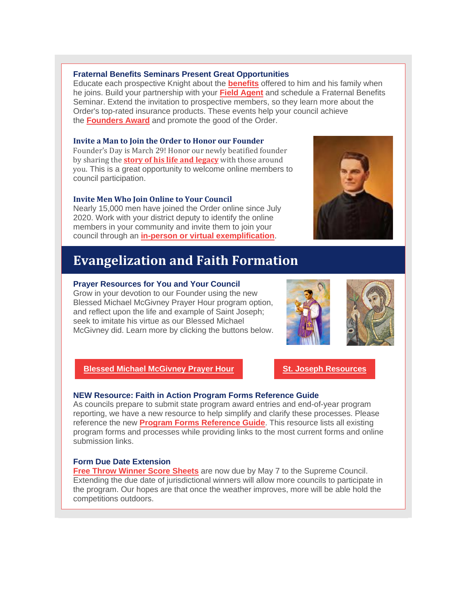#### **Fraternal Benefits Seminars Present Great Opportunities**

Educate each prospective Knight about the **[benefits](http://r20.rs6.net/tn.jsp?f=0017Jvmv69BbCuxc53qKf5ODjnsN6xtcjL1wtIxzJ-RgrCP2b_bCPegO6i-87R17awOpBZB6agD3g84m6e6ytdO-x4Eh0YyhfLcLQ9fpsYwAhA-pooZWQ9UctajjSUwIxupVaDi76W-3RsMh5pJFAzwSTGA2O-H01HKj0wrLjIJsVx6XCtWIN-VWVG-MmmKug6Add5Et2gSgQTJPco4BXLEeKgijIVhfW7R&c=mU4NjQ5g3cDZIONIc_sYzt84_bYFZ2f7_-yBD1WQCKQ0pEEW6emzwA==&ch=6yJW1oWQaRw2SDmvMhsMXEWQPBRYXWQeIaEd9O1yUWin_t3P9Ug56Q==)** offered to him and his family when he joins. Build your partnership with your **Field [Agent](http://r20.rs6.net/tn.jsp?f=0017Jvmv69BbCuxc53qKf5ODjnsN6xtcjL1wtIxzJ-RgrCP2b_bCPegO6i-87R17awOrYb7aFYtolIN4gxmJiYdRB6g1F10qZ-xT0UfUnJqO3J1utLa5l2hIKyTuYrmcrT7TaaK1DosY3ymXJNPeIiVYkOQVe7YG9UafP3o_wt78mSo3O82Ado8KBed1zDR0AbneZyfSA4rATo=&c=mU4NjQ5g3cDZIONIc_sYzt84_bYFZ2f7_-yBD1WQCKQ0pEEW6emzwA==&ch=6yJW1oWQaRw2SDmvMhsMXEWQPBRYXWQeIaEd9O1yUWin_t3P9Ug56Q==)** and schedule a Fraternal Benefits Seminar. Extend the invitation to prospective members, so they learn more about the Order's top-rated insurance products. These events help your council achieve the **[Founders](http://r20.rs6.net/tn.jsp?f=0017Jvmv69BbCuxc53qKf5ODjnsN6xtcjL1wtIxzJ-RgrCP2b_bCPegO2uvLUgZUWtYjyTQyIXCW-PDIoLv4Fm1Pz25wUtM7_RszxUO5HfglI1RKb1S76Z_dlIkWlNKVnqbqhTzUCU9l3YSm1Cog70GNceE6PKEge5JErzIRpF9UWUZM3HGnI7grPD8HpCKfiAxECP9sVj4oWL1_0umvUoyzraFGxBSVivELwIEwT7pu3Q=&c=mU4NjQ5g3cDZIONIc_sYzt84_bYFZ2f7_-yBD1WQCKQ0pEEW6emzwA==&ch=6yJW1oWQaRw2SDmvMhsMXEWQPBRYXWQeIaEd9O1yUWin_t3P9Ug56Q==) Award** and promote the good of the Order.

#### **Invite a Man to Join the Order to Honor our Founder**

Founder's Day is March 29! Honor our newly beatified founder by sharing the **story of his life and [legacy](http://r20.rs6.net/tn.jsp?f=0017Jvmv69BbCuxc53qKf5ODjnsN6xtcjL1wtIxzJ-RgrCP2b_bCPegO9a4AGnde7edNMCDblQmFzT0fZSdRDPHZLD84OW6m6FU4k461LI6WS4MBoC8Wg_A2KL-i3g0OpWuIhKnbmehAiFe2mSLQdSt-4v5Ua2fu4Vw7ifBV0iOcghjfLnY3jfpJw==&c=mU4NjQ5g3cDZIONIc_sYzt84_bYFZ2f7_-yBD1WQCKQ0pEEW6emzwA==&ch=6yJW1oWQaRw2SDmvMhsMXEWQPBRYXWQeIaEd9O1yUWin_t3P9Ug56Q==)** with those around you. This is a great opportunity to welcome online members to council participation.

#### **Invite Men Who Join Online to Your Council**

Nearly 15,000 men have joined the Order online since July 2020. Work with your district deputy to identify the online members in your community and invite them to join your council through an **in-person or virtual [exemplification](http://r20.rs6.net/tn.jsp?f=0017Jvmv69BbCuxc53qKf5ODjnsN6xtcjL1wtIxzJ-RgrCP2b_bCPegO2uvLUgZUWtYoeDKEevqDKxzjPjWAbmQ33xICJ5eBzlcGvQ5G5I6XbafNtNnqnbknn1MF2Eg5GDCMVPUTp3kxNrxnzgK5jU16VLwsYc2HSfTB3FCdEBBLMnKV-OHjCE_dLlX4cslNWz05_U8njwARqHxcNqb8KYaC16jSEll5SluD4AZ4XDnIDE7DSLRAuMYmA==&c=mU4NjQ5g3cDZIONIc_sYzt84_bYFZ2f7_-yBD1WQCKQ0pEEW6emzwA==&ch=6yJW1oWQaRw2SDmvMhsMXEWQPBRYXWQeIaEd9O1yUWin_t3P9Ug56Q==)**.

## **Evangelization and Faith Formation**

#### **Prayer Resources for You and Your Council**

Grow in your devotion to our Founder using the new Blessed Michael McGivney Prayer Hour program option, and reflect upon the life and example of Saint Joseph; seek to imitate his virtue as our Blessed Michael McGivney did. Learn more by clicking the buttons below.

## **Blessed Michael [McGivney](http://r20.rs6.net/tn.jsp?f=0017Jvmv69BbCuxc53qKf5ODjnsN6xtcjL1wtIxzJ-RgrCP2b_bCPegO1Mke5RkV3VwuCSabKZGWsaEY6IplphrJ68GXvbvSU_F095hJ0HQqCV-JJwz_rXGtUn1dzGF57FU6rqRAgpJMyfdHlzQq97aPldAMKfLfb0mwpnvTCQgYviv54DeAYO7LjNOoF-belcJcwRgllWpZKfR-GC9he0BPtRl3L2Ru00XG1BFwy1fC2vMl-9DqrKuaWbtQL_iJUAd&c=mU4NjQ5g3cDZIONIc_sYzt84_bYFZ2f7_-yBD1WQCKQ0pEEW6emzwA==&ch=6yJW1oWQaRw2SDmvMhsMXEWQPBRYXWQeIaEd9O1yUWin_t3P9Ug56Q==) Prayer Hour St. Joseph [Resources](http://r20.rs6.net/tn.jsp?f=0017Jvmv69BbCuxc53qKf5ODjnsN6xtcjL1wtIxzJ-RgrCP2b_bCPegO9a4AGnde7edDgjUICiG_axBAb3-46tSlC8jdMaxZ-p3cE_RlJ7y9QWqmvvyzxsdo4_8V6ZWm9s1wAKTKZObwBIkVpsj_zzNttmgXuvwxZh1idRO42Y8ao23ZBkoHexE-B3gQbGcf6yPJsMwhmaDrH3T8x1PYfgNxRRCJfqkMids&c=mU4NjQ5g3cDZIONIc_sYzt84_bYFZ2f7_-yBD1WQCKQ0pEEW6emzwA==&ch=6yJW1oWQaRw2SDmvMhsMXEWQPBRYXWQeIaEd9O1yUWin_t3P9Ug56Q==)**

## **NEW Resource: Faith in Action Program Forms Reference Guide**

As councils prepare to submit state program award entries and end-of-year program reporting, we have a new resource to help simplify and clarify these processes. Please reference the new **Program Forms [Reference](http://r20.rs6.net/tn.jsp?f=0017Jvmv69BbCuxc53qKf5ODjnsN6xtcjL1wtIxzJ-RgrCP2b_bCPegO81jgftHMyXiuokR3hZGJGpqDRweRoHMylSiRB8d4fQnLHWZtuYD_BOHmDitOGjOY9htx_VRaRfQBjm_WS-MsiM7BcwlMiqzyMIuSFEoc75mLcMOSOZlHVkG2Rabc1hAKFlize-p4_OlNHccjlOUGY2SGqT05pUt-w5sX4vhmNNXhBi_8x3mHDnVw_uBAHU7kf_JMgBJFDIX&c=mU4NjQ5g3cDZIONIc_sYzt84_bYFZ2f7_-yBD1WQCKQ0pEEW6emzwA==&ch=6yJW1oWQaRw2SDmvMhsMXEWQPBRYXWQeIaEd9O1yUWin_t3P9Ug56Q==) Guide**. This resource lists all existing program forms and processes while providing links to the most current forms and online submission links.

## **Form Due Date Extension**

**Free Throw [Winner](http://r20.rs6.net/tn.jsp?f=0017Jvmv69BbCuxc53qKf5ODjnsN6xtcjL1wtIxzJ-RgrCP2b_bCPegO9a4AGnde7ed0e_I2NTiLGNpBNuY_mDedSIsJFbrOrRB2voPHQQhNjZ9MD-72pQvt4ul1Wia22hJJdfq4UXCrcVZ-UUOcu9WCGUgrxTo6rYHudQnsjKLEph5t5_JcZa-dQsoDrXN5vMHlTuKWHSOIkrlVmM_gkdP6A8dygU0wYj1fzS8Jm_2pY2iXK2PtZawA5WMw68IHcFDY6kSMxcSUQP4nKOCMV9txg==&c=mU4NjQ5g3cDZIONIc_sYzt84_bYFZ2f7_-yBD1WQCKQ0pEEW6emzwA==&ch=6yJW1oWQaRw2SDmvMhsMXEWQPBRYXWQeIaEd9O1yUWin_t3P9Ug56Q==) Score Sheets** are now due by May 7 to the Supreme Council. Extending the due date of jurisdictional winners will allow more councils to participate in the program. Our hopes are that once the weather improves, more will be able hold the competitions outdoors.



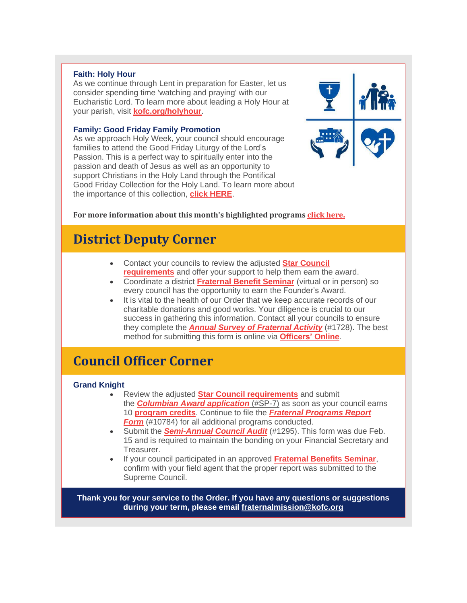#### **Faith: Holy Hour**

As we continue through Lent in preparation for Easter, let us consider spending time 'watching and praying' with our Eucharistic Lord. To learn more about leading a Holy Hour at your parish, visit **[kofc.org/holyhour](http://r20.rs6.net/tn.jsp?f=0017Jvmv69BbCuxc53qKf5ODjnsN6xtcjL1wtIxzJ-RgrCP2b_bCPegO2uvLUgZUWtYXWDgSdxphSRYJIyt2ZlR3S5W7XRS4XiR1PSpYpwUxfpuUmkVx_ohpUS7AxRBkfpNvHqV65fY7YUvPHkcXrkFFrwaDghSPIiL7l6Pu-cQYDfCaaFS3vPTOVK-DRRWlhdeF2iBa-PIiCPomCmwLrMpF95duPNyGD_-ZBlgV_bNLZA=&c=mU4NjQ5g3cDZIONIc_sYzt84_bYFZ2f7_-yBD1WQCKQ0pEEW6emzwA==&ch=6yJW1oWQaRw2SDmvMhsMXEWQPBRYXWQeIaEd9O1yUWin_t3P9Ug56Q==)**.

#### **Family: Good Friday Family Promotion**

As we approach Holy Week, your council should encourage families to attend the Good Friday Liturgy of the Lord's Passion. This is a perfect way to spiritually enter into the passion and death of Jesus as well as an opportunity to support Christians in the Holy Land through the Pontifical Good Friday Collection for the Holy Land. To learn more about the importance of this collection, **click [HERE](http://r20.rs6.net/tn.jsp?f=0017Jvmv69BbCuxc53qKf5ODjnsN6xtcjL1wtIxzJ-RgrCP2b_bCPegO2TNWuAZ0I0yKsHrVcZn5u7ETT5eayOwUpN7ofjlAW_mIxlrEpKOZqVxs0Hzf_LET6e-L3IA9Ahi49pAFAsn62azio73J03DU7WIbT4mgBHrCJOC5L2nECzVU9dJUhxAvr2DAVOGyfp0CwrJ-hgw0H5uDOiNW0Ddy0bc_AiaPHmdEMsrNcxsas7x0QJPB5iGD3z1v9Bk7XDgUQ9J9bV8TRFmpqbo_gQdC-vQ-pgz86h4-SlSark5PRQ=&c=mU4NjQ5g3cDZIONIc_sYzt84_bYFZ2f7_-yBD1WQCKQ0pEEW6emzwA==&ch=6yJW1oWQaRw2SDmvMhsMXEWQPBRYXWQeIaEd9O1yUWin_t3P9Ug56Q==)**.

### **For more information about this month's highlighted programs click [here.](http://r20.rs6.net/tn.jsp?f=0017Jvmv69BbCuxc53qKf5ODjnsN6xtcjL1wtIxzJ-RgrCP2b_bCPegO3-QOzilr8UyTGzxbU5fZZxMnGkBD5JGVAsLSnsemA6Kx9K9XZOzK5T5KKKGmKnoSf_ljmo0HYEJXWFBNwRP9OZHpuaOTjDb_HAsSAb5L350Pzc1CeRZ6hEvlW_fVBGz2HrOH9GHlOCoIUUci8aITZmkoTNIisEZ5kyqJIe0Z-skB2pv1ujs-LjyJ_yK7CEYHM67yvbmfd82&c=mU4NjQ5g3cDZIONIc_sYzt84_bYFZ2f7_-yBD1WQCKQ0pEEW6emzwA==&ch=6yJW1oWQaRw2SDmvMhsMXEWQPBRYXWQeIaEd9O1yUWin_t3P9Ug56Q==)**

## **District Deputy Corner**

- Contact your councils to review the adjusted **Star [Council](http://r20.rs6.net/tn.jsp?f=0017Jvmv69BbCuxc53qKf5ODjnsN6xtcjL1wtIxzJ-RgrCP2b_bCPegO81jgftHMyXi9LNIIa-dOla5Ugc-VNQTGactkjjpJh27qxH1dpU1xegd0pkcD4wEVTEjfvG0AbDMGAHtrqD2YdhcbyMDjY-vWRqGmyG1skqm0kbmNZrefTjwvEgUEkOQTVD4TrMe__xjQhOru8mbT76JVtyvqNpP6ikP00WxNg_-5vMsQHuV-ig=&c=mU4NjQ5g3cDZIONIc_sYzt84_bYFZ2f7_-yBD1WQCKQ0pEEW6emzwA==&ch=6yJW1oWQaRw2SDmvMhsMXEWQPBRYXWQeIaEd9O1yUWin_t3P9Ug56Q==) [requirements](http://r20.rs6.net/tn.jsp?f=0017Jvmv69BbCuxc53qKf5ODjnsN6xtcjL1wtIxzJ-RgrCP2b_bCPegO81jgftHMyXi9LNIIa-dOla5Ugc-VNQTGactkjjpJh27qxH1dpU1xegd0pkcD4wEVTEjfvG0AbDMGAHtrqD2YdhcbyMDjY-vWRqGmyG1skqm0kbmNZrefTjwvEgUEkOQTVD4TrMe__xjQhOru8mbT76JVtyvqNpP6ikP00WxNg_-5vMsQHuV-ig=&c=mU4NjQ5g3cDZIONIc_sYzt84_bYFZ2f7_-yBD1WQCKQ0pEEW6emzwA==&ch=6yJW1oWQaRw2SDmvMhsMXEWQPBRYXWQeIaEd9O1yUWin_t3P9Ug56Q==)** and offer your support to help them earn the award.
- Coordinate a district **[Fraternal](http://r20.rs6.net/tn.jsp?f=0017Jvmv69BbCuxc53qKf5ODjnsN6xtcjL1wtIxzJ-RgrCP2b_bCPegO81jgftHMyXiEMgZig2p4JrSy5idG6mTb-R9nOriOPb6nMRvcDcjswjyb7ltnrrttMy64KSigyc7utthxJ_IUiZzYKgA-oAG06GTiNqst_MLw7jkyDyFgu_u6rogYMPeo14bUu89evpjSta4Nj2nO4oIN4-GFojl77Tl5PiTaRSP&c=mU4NjQ5g3cDZIONIc_sYzt84_bYFZ2f7_-yBD1WQCKQ0pEEW6emzwA==&ch=6yJW1oWQaRw2SDmvMhsMXEWQPBRYXWQeIaEd9O1yUWin_t3P9Ug56Q==) Benefit Seminar** (virtual or in person) so every council has the opportunity to earn the Founder's Award.
- It is vital to the health of our Order that we keep accurate records of our charitable donations and good works. Your diligence is crucial to our success in gathering this information. Contact all your councils to ensure they complete the *Annual Survey of [Fraternal](http://r20.rs6.net/tn.jsp?f=0017Jvmv69BbCuxc53qKf5ODjnsN6xtcjL1wtIxzJ-RgrCP2b_bCPegO81jgftHMyXiVHbTNQPN7TYrARFWYayMhP9vDEzFGLpNl5m3WLqLWrTRA03dM40wt_zJCMxpsRgvHYTIDI5bLyeZ5A6DJfVgPwSF7IivTdi2v0uCkd4wYxKP2Zd01cBQ9zWFUiPtrqNVwbN8kSYU_KU-dyHwiUpr4kQSP0yFAVpa&c=mU4NjQ5g3cDZIONIc_sYzt84_bYFZ2f7_-yBD1WQCKQ0pEEW6emzwA==&ch=6yJW1oWQaRw2SDmvMhsMXEWQPBRYXWQeIaEd9O1yUWin_t3P9Ug56Q==) Activity* (#1728). The best method for submitting this form is online via **[Officers'](http://r20.rs6.net/tn.jsp?f=0017Jvmv69BbCuxc53qKf5ODjnsN6xtcjL1wtIxzJ-RgrCP2b_bCPegO5F7Gm555PmLJ64gsYJ-LOs6CPe5G_wM8x7Bt6oT2Gj0cjL1IFOFjKU1bcU2I8VuBhU2BpK5f9MF1_79ZcfHy9rkewI2WHJe_fu0HmnH1opbsG3W43GbfSAQ7O9SdH6Of3o7fXuYUejNPxHqgeV223AgP9oUcBCEPr6NwO4HEMeIt33JM0sVmaw=&c=mU4NjQ5g3cDZIONIc_sYzt84_bYFZ2f7_-yBD1WQCKQ0pEEW6emzwA==&ch=6yJW1oWQaRw2SDmvMhsMXEWQPBRYXWQeIaEd9O1yUWin_t3P9Ug56Q==) Online**.

## **Council Officer Corner**

### **Grand Knight**

- Review the adjusted **Star Council [requirements](http://r20.rs6.net/tn.jsp?f=0017Jvmv69BbCuxc53qKf5ODjnsN6xtcjL1wtIxzJ-RgrCP2b_bCPegO81jgftHMyXi9LNIIa-dOla5Ugc-VNQTGactkjjpJh27qxH1dpU1xegd0pkcD4wEVTEjfvG0AbDMGAHtrqD2YdhcbyMDjY-vWRqGmyG1skqm0kbmNZrefTjwvEgUEkOQTVD4TrMe__xjQhOru8mbT76JVtyvqNpP6ikP00WxNg_-5vMsQHuV-ig=&c=mU4NjQ5g3cDZIONIc_sYzt84_bYFZ2f7_-yBD1WQCKQ0pEEW6emzwA==&ch=6yJW1oWQaRw2SDmvMhsMXEWQPBRYXWQeIaEd9O1yUWin_t3P9Ug56Q==)** and submit the *Columbian Award [application](http://r20.rs6.net/tn.jsp?f=0017Jvmv69BbCuxc53qKf5ODjnsN6xtcjL1wtIxzJ-RgrCP2b_bCPegO81jgftHMyXig773AJZVZnqbEkyOe3ooVvnsRuCTbqJsOvEptx1sO8tjcYn2rDbFPjZgoAcZllMaXGJSuMLe5r0JDQBW5MoIYjHBaguYbJGe77cbwdp-M8yZyeFVHsfMQ5ZRlO0PWuasYT_NqrulxYAtxLwLGqns8sruMseXwAg5&c=mU4NjQ5g3cDZIONIc_sYzt84_bYFZ2f7_-yBD1WQCKQ0pEEW6emzwA==&ch=6yJW1oWQaRw2SDmvMhsMXEWQPBRYXWQeIaEd9O1yUWin_t3P9Ug56Q==)* [\(#SP-7\)](http://r20.rs6.net/tn.jsp?f=0017Jvmv69BbCuxc53qKf5ODjnsN6xtcjL1wtIxzJ-RgrCP2b_bCPegO81jgftHMyXig773AJZVZnqbEkyOe3ooVvnsRuCTbqJsOvEptx1sO8tjcYn2rDbFPjZgoAcZllMaXGJSuMLe5r0JDQBW5MoIYjHBaguYbJGe77cbwdp-M8yZyeFVHsfMQ5ZRlO0PWuasYT_NqrulxYAtxLwLGqns8sruMseXwAg5&c=mU4NjQ5g3cDZIONIc_sYzt84_bYFZ2f7_-yBD1WQCKQ0pEEW6emzwA==&ch=6yJW1oWQaRw2SDmvMhsMXEWQPBRYXWQeIaEd9O1yUWin_t3P9Ug56Q==) as soon as your council earns 10 **[program](http://r20.rs6.net/tn.jsp?f=0017Jvmv69BbCuxc53qKf5ODjnsN6xtcjL1wtIxzJ-RgrCP2b_bCPegO81jgftHMyXijfEAboo7W4UntWLgZBnogbyll7ZfOCXyACJEKtNsd-OQpLbqIaA508R5SG5Gv8L0XTv1BIy-jIDJtDYCiJameQGZ7i-dTdjDVeu6V0NwKGiRn_uMjSebX9heRbng18t5jp20_zKprrtz1CDShNH0ETYuySbBD_TxI2t-tXRg_aNELiw54I_Y-wuzu_GSW8e-&c=mU4NjQ5g3cDZIONIc_sYzt84_bYFZ2f7_-yBD1WQCKQ0pEEW6emzwA==&ch=6yJW1oWQaRw2SDmvMhsMXEWQPBRYXWQeIaEd9O1yUWin_t3P9Ug56Q==) credits**. Continue to file the *Fraternal [Programs](http://r20.rs6.net/tn.jsp?f=0017Jvmv69BbCuxc53qKf5ODjnsN6xtcjL1wtIxzJ-RgrCP2b_bCPegOwFny-UsCRo37Ybx_BqTgN3ZthjVpig9DFaGaCDan1yvQAqTgNKGQIytJXnhLmFHyXKwQEh3AKScBzLWtvpI5uUbAsxmicncgZ8FqQkEIfaX47rKtXJSZ6P942TdhZIYtkfgC2IhK0AEMdu6dWQAW1I1TmomyoJqIaRhNQQjMvOG&c=mU4NjQ5g3cDZIONIc_sYzt84_bYFZ2f7_-yBD1WQCKQ0pEEW6emzwA==&ch=6yJW1oWQaRw2SDmvMhsMXEWQPBRYXWQeIaEd9O1yUWin_t3P9Ug56Q==) Report [Form](http://r20.rs6.net/tn.jsp?f=0017Jvmv69BbCuxc53qKf5ODjnsN6xtcjL1wtIxzJ-RgrCP2b_bCPegOwFny-UsCRo37Ybx_BqTgN3ZthjVpig9DFaGaCDan1yvQAqTgNKGQIytJXnhLmFHyXKwQEh3AKScBzLWtvpI5uUbAsxmicncgZ8FqQkEIfaX47rKtXJSZ6P942TdhZIYtkfgC2IhK0AEMdu6dWQAW1I1TmomyoJqIaRhNQQjMvOG&c=mU4NjQ5g3cDZIONIc_sYzt84_bYFZ2f7_-yBD1WQCKQ0pEEW6emzwA==&ch=6yJW1oWQaRw2SDmvMhsMXEWQPBRYXWQeIaEd9O1yUWin_t3P9Ug56Q==)* (#10784) for all additional programs conducted.
- Submit the *[Semi-Annual](http://r20.rs6.net/tn.jsp?f=0017Jvmv69BbCuxc53qKf5ODjnsN6xtcjL1wtIxzJ-RgrCP2b_bCPegO81jgftHMyXihzco8rijRgHf7f2v0VPW5kno0xDIDeoBvBXVNPPuZ73lbNkTOdwB2XW-_4__D0tyPDL_FYgrmh3zIHTYKrrR2W0JVxhXEKLjW4BqDNcEoJ0MXPV8gRgi6M4IXXJAO05D&c=mU4NjQ5g3cDZIONIc_sYzt84_bYFZ2f7_-yBD1WQCKQ0pEEW6emzwA==&ch=6yJW1oWQaRw2SDmvMhsMXEWQPBRYXWQeIaEd9O1yUWin_t3P9Ug56Q==) Council Audit* (#1295). This form was due Feb. 15 and is required to maintain the bonding on your Financial Secretary and Treasurer.
- If your council participated in an approved **[Fraternal](http://r20.rs6.net/tn.jsp?f=0017Jvmv69BbCuxc53qKf5ODjnsN6xtcjL1wtIxzJ-RgrCP2b_bCPegO81jgftHMyXinXk8L1CmFPBzgaqtgDQngl_19cLMzji4UQXIkIevAygacBsSLLt1AZuhhHPlmuSMe-pb53b_LnPXUaakb2xUJMPcvd2uWi6VWanMcegoQFfA-RYCCs2mxL82qp8brR1ra4HVTqHD5swc0sZkwB1o_ijXll9WbG-m&c=mU4NjQ5g3cDZIONIc_sYzt84_bYFZ2f7_-yBD1WQCKQ0pEEW6emzwA==&ch=6yJW1oWQaRw2SDmvMhsMXEWQPBRYXWQeIaEd9O1yUWin_t3P9Ug56Q==) Benefits Seminar**, confirm with your field agent that the proper report was submitted to the Supreme Council.

**Thank you for your service to the Order. If you have any questions or suggestions during your term, please email [fraternalmission@kofc.org](mailto:fraternalmission@kofc.org)**